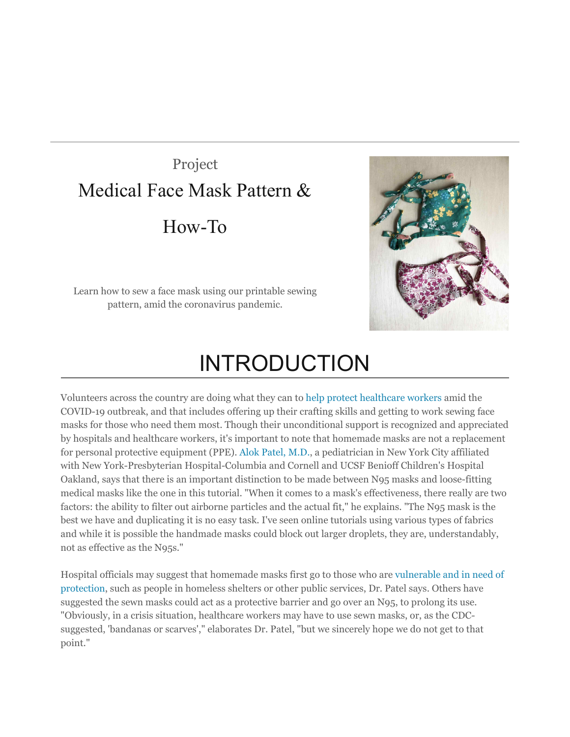# Project Medical Face Mask Pattern & How-To



Learn how to sew a face mask using our printable sewing pattern, amid the coronavirus pandemic.

## INTRODUCTION

Volunteers across the country are doing what they can to help protect healthcare workers amid the COVID-19 outbreak, and that includes offering up their crafting skills and getting to work sewing face masks for those who need them most. Though their unconditional support is recognized and appreciated by hospitals and healthcare workers, it's important to note that homemade masks are not a replacement for personal protective equipment (PPE). Alok Patel, M.D., a pediatrician in New York City affiliated with New York-Presbyterian Hospital-Columbia and Cornell and UCSF Benioff Children's Hospital Oakland, says that there is an important distinction to be made between N95 masks and loose-fitting medical masks like the one in this tutorial. "When it comes to a mask's effectiveness, there really are two factors: the ability to filter out airborne particles and the actual fit," he explains. "The N95 mask is the best we have and duplicating it is no easy task. I've seen online tutorials using various types of fabrics and while it is possible the handmade masks could block out larger droplets, they are, understandably, not as effective as the N95s."

Hospital officials may suggest that homemade masks first go to those who are vulnerable and in need of protection, such as people in homeless shelters or other public services, Dr. Patel says. Others have suggested the sewn masks could act as a protective barrier and go over an N95, to prolong its use. "Obviously, in a crisis situation, healthcare workers may have to use sewn masks, or, as the CDCsuggested, 'bandanas or scarves'," elaborates Dr. Patel, "but we sincerely hope we do not get to that point."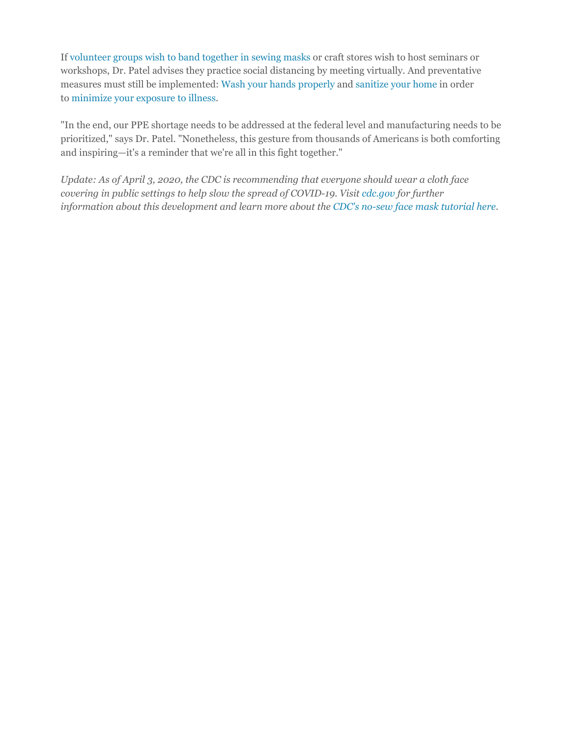If volunteer groups wish to band together in sewing masks or craft stores wish to host seminars or workshops, Dr. Patel advises they practice social distancing by meeting virtually. And preventative measures must still be implemented: Wash your hands properly and sanitize your home in order to minimize your exposure to illness.

"In the end, our PPE shortage needs to be addressed at the federal level and manufacturing needs to be prioritized," says Dr. Patel. "Nonetheless, this gesture from thousands of Americans is both comforting and inspiring—it's a reminder that we're all in this fight together."

Update: As of April 3, 2020, the CDC is recommending that everyone should wear a cloth face covering in public settings to help slow the spread of COVID-19. Visit cdc.gov for further information about this development and learn more about the CDC's no-sew face mask tutorial here.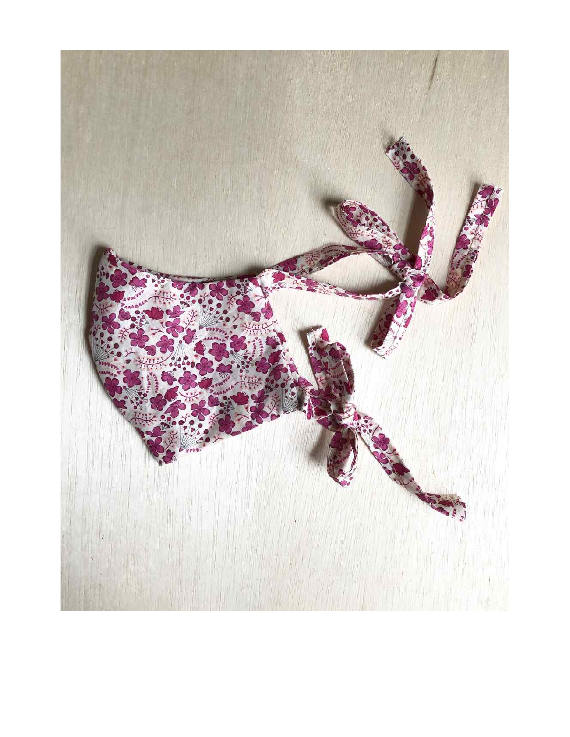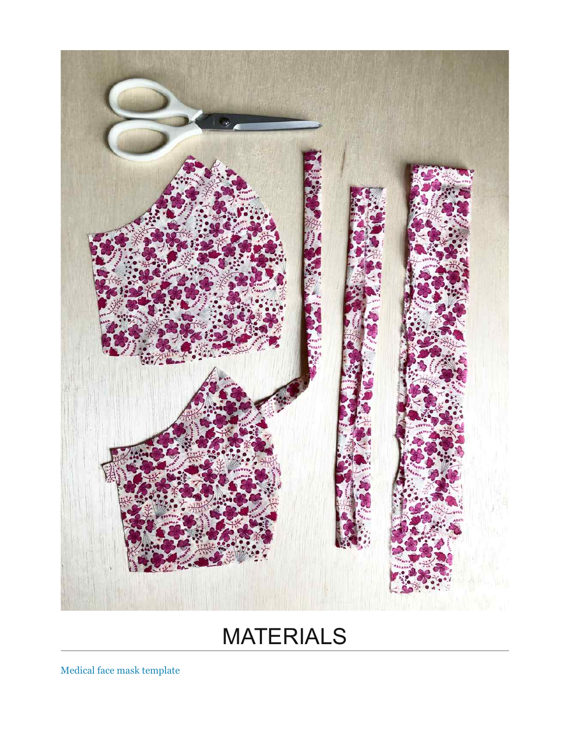

## MATERIALS

Medical face mask template